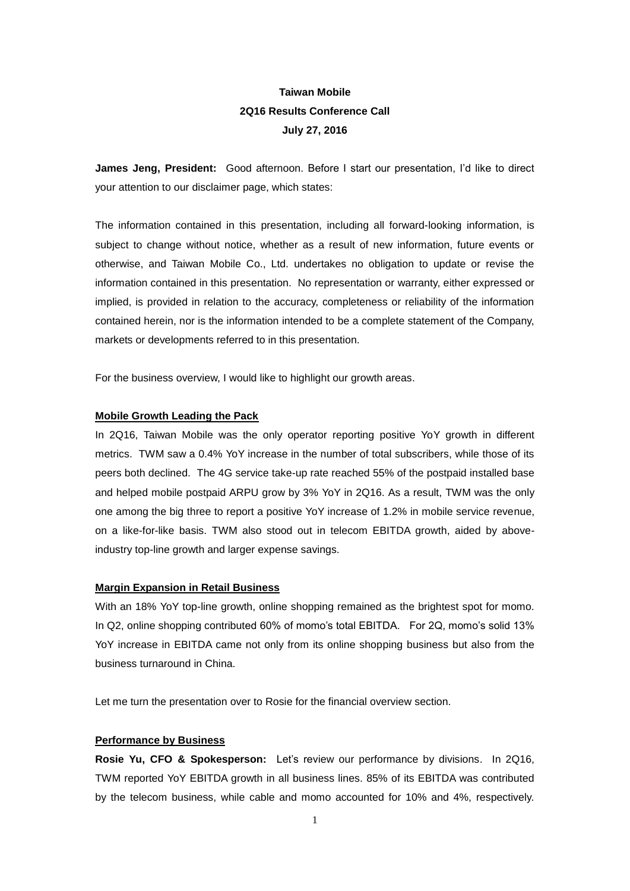# **Taiwan Mobile 2Q16 Results Conference Call July 27, 2016**

**James Jeng, President:** Good afternoon. Before I start our presentation, I'd like to direct your attention to our disclaimer page, which states:

The information contained in this presentation, including all forward-looking information, is subject to change without notice, whether as a result of new information, future events or otherwise, and Taiwan Mobile Co., Ltd. undertakes no obligation to update or revise the information contained in this presentation. No representation or warranty, either expressed or implied, is provided in relation to the accuracy, completeness or reliability of the information contained herein, nor is the information intended to be a complete statement of the Company, markets or developments referred to in this presentation.

For the business overview, I would like to highlight our growth areas.

# **Mobile Growth Leading the Pack**

In 2Q16, Taiwan Mobile was the only operator reporting positive YoY growth in different metrics. TWM saw a 0.4% YoY increase in the number of total subscribers, while those of its peers both declined. The 4G service take-up rate reached 55% of the postpaid installed base and helped mobile postpaid ARPU grow by 3% YoY in 2Q16. As a result, TWM was the only one among the big three to report a positive YoY increase of 1.2% in mobile service revenue, on a like-for-like basis. TWM also stood out in telecom EBITDA growth, aided by aboveindustry top-line growth and larger expense savings.

### **Margin Expansion in Retail Business**

With an 18% YoY top-line growth, online shopping remained as the brightest spot for momo. In Q2, online shopping contributed 60% of momo's total EBITDA. For 2Q, momo's solid 13% YoY increase in EBITDA came not only from its online shopping business but also from the business turnaround in China.

Let me turn the presentation over to Rosie for the financial overview section.

# **Performance by Business**

**Rosie Yu, CFO & Spokesperson:** Let's review our performance by divisions. In 2Q16, TWM reported YoY EBITDA growth in all business lines. 85% of its EBITDA was contributed by the telecom business, while cable and momo accounted for 10% and 4%, respectively.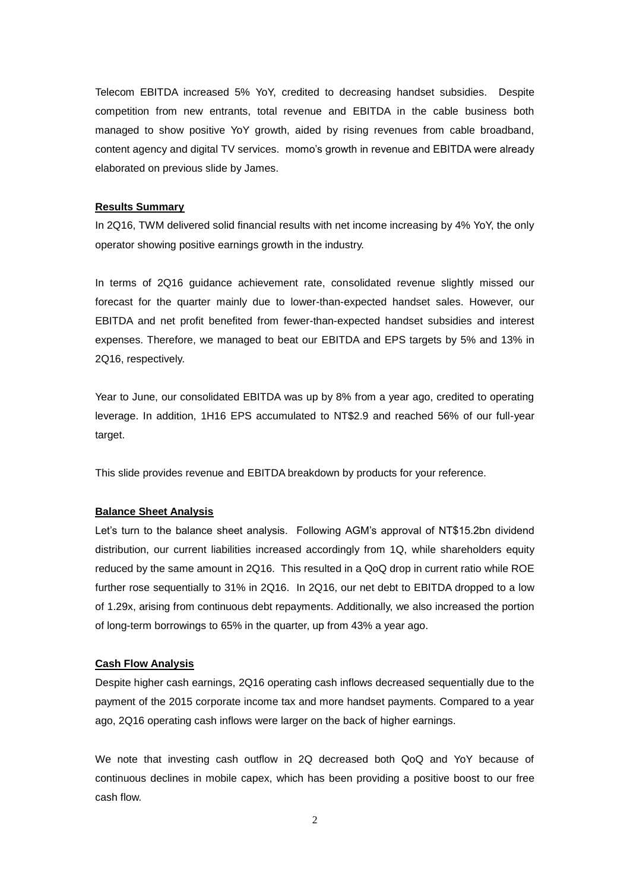Telecom EBITDA increased 5% YoY, credited to decreasing handset subsidies. Despite competition from new entrants, total revenue and EBITDA in the cable business both managed to show positive YoY growth, aided by rising revenues from cable broadband, content agency and digital TV services. momo's growth in revenue and EBITDA were already elaborated on previous slide by James.

### **Results Summary**

In 2Q16, TWM delivered solid financial results with net income increasing by 4% YoY, the only operator showing positive earnings growth in the industry.

In terms of 2Q16 guidance achievement rate, consolidated revenue slightly missed our forecast for the quarter mainly due to lower-than-expected handset sales. However, our EBITDA and net profit benefited from fewer-than-expected handset subsidies and interest expenses. Therefore, we managed to beat our EBITDA and EPS targets by 5% and 13% in 2Q16, respectively.

Year to June, our consolidated EBITDA was up by 8% from a year ago, credited to operating leverage. In addition, 1H16 EPS accumulated to NT\$2.9 and reached 56% of our full-year target.

This slide provides revenue and EBITDA breakdown by products for your reference.

# **Balance Sheet Analysis**

Let's turn to the balance sheet analysis. Following AGM's approval of NT\$15.2bn dividend distribution, our current liabilities increased accordingly from 1Q, while shareholders equity reduced by the same amount in 2Q16. This resulted in a QoQ drop in current ratio while ROE further rose sequentially to 31% in 2Q16. In 2Q16, our net debt to EBITDA dropped to a low of 1.29x, arising from continuous debt repayments. Additionally, we also increased the portion of long-term borrowings to 65% in the quarter, up from 43% a year ago.

#### **Cash Flow Analysis**

Despite higher cash earnings, 2Q16 operating cash inflows decreased sequentially due to the payment of the 2015 corporate income tax and more handset payments. Compared to a year ago, 2Q16 operating cash inflows were larger on the back of higher earnings.

We note that investing cash outflow in 2Q decreased both QoQ and YoY because of continuous declines in mobile capex, which has been providing a positive boost to our free cash flow.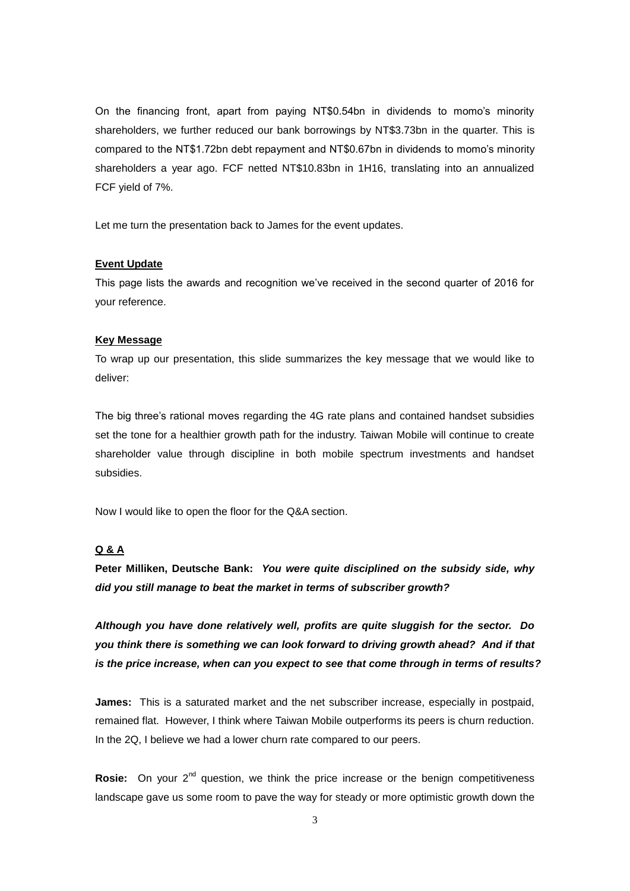On the financing front, apart from paying NT\$0.54bn in dividends to momo's minority shareholders, we further reduced our bank borrowings by NT\$3.73bn in the quarter. This is compared to the NT\$1.72bn debt repayment and NT\$0.67bn in dividends to momo's minority shareholders a year ago. FCF netted NT\$10.83bn in 1H16, translating into an annualized FCF yield of 7%.

Let me turn the presentation back to James for the event updates.

### **Event Update**

This page lists the awards and recognition we've received in the second quarter of 2016 for your reference.

# **Key Message**

To wrap up our presentation, this slide summarizes the key message that we would like to deliver:

The big three's rational moves regarding the 4G rate plans and contained handset subsidies set the tone for a healthier growth path for the industry. Taiwan Mobile will continue to create shareholder value through discipline in both mobile spectrum investments and handset subsidies.

Now I would like to open the floor for the Q&A section.

# **Q & A**

**Peter Milliken, Deutsche Bank:** *You were quite disciplined on the subsidy side, why did you still manage to beat the market in terms of subscriber growth?*

*Although you have done relatively well, profits are quite sluggish for the sector. Do you think there is something we can look forward to driving growth ahead? And if that is the price increase, when can you expect to see that come through in terms of results?* 

**James:** This is a saturated market and the net subscriber increase, especially in postpaid, remained flat. However, I think where Taiwan Mobile outperforms its peers is churn reduction. In the 2Q. I believe we had a lower churn rate compared to our peers.

Rosie: On your 2<sup>nd</sup> question, we think the price increase or the benign competitiveness landscape gave us some room to pave the way for steady or more optimistic growth down the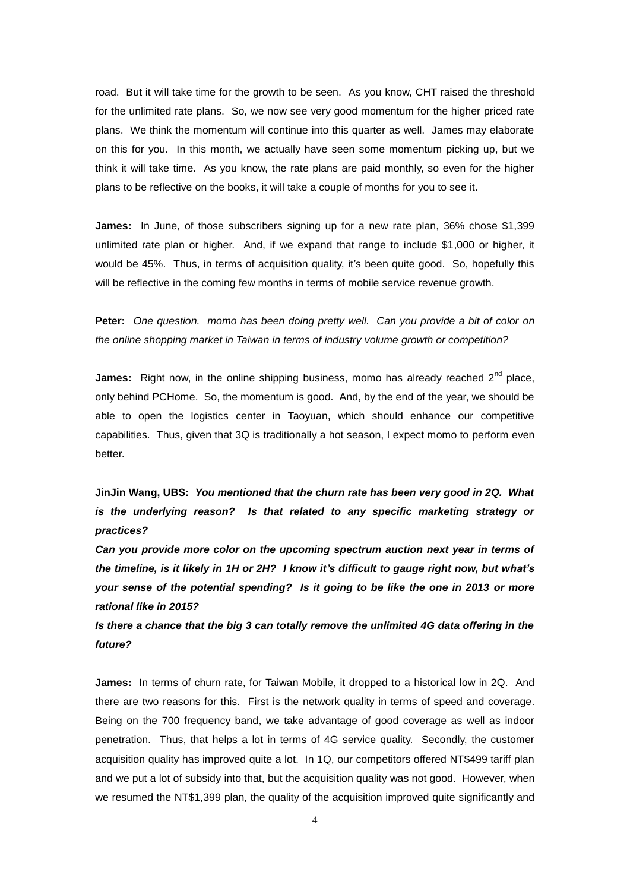road. But it will take time for the growth to be seen. As you know, CHT raised the threshold for the unlimited rate plans. So, we now see very good momentum for the higher priced rate plans. We think the momentum will continue into this quarter as well. James may elaborate on this for you. In this month, we actually have seen some momentum picking up, but we think it will take time. As you know, the rate plans are paid monthly, so even for the higher plans to be reflective on the books, it will take a couple of months for you to see it.

**James:** In June, of those subscribers signing up for a new rate plan, 36% chose \$1,399 unlimited rate plan or higher. And, if we expand that range to include \$1,000 or higher, it would be 45%. Thus, in terms of acquisition quality, it's been quite good. So, hopefully this will be reflective in the coming few months in terms of mobile service revenue growth.

**Peter:** *One question. momo has been doing pretty well. Can you provide a bit of color on the online shopping market in Taiwan in terms of industry volume growth or competition?*

**James:** Right now, in the online shipping business, momo has already reached 2<sup>nd</sup> place, only behind PCHome. So, the momentum is good. And, by the end of the year, we should be able to open the logistics center in Taoyuan, which should enhance our competitive capabilities. Thus, given that 3Q is traditionally a hot season, I expect momo to perform even better.

**JinJin Wang, UBS:** *You mentioned that the churn rate has been very good in 2Q. What is the underlying reason? Is that related to any specific marketing strategy or practices?*

*Can you provide more color on the upcoming spectrum auction next year in terms of the timeline, is it likely in 1H or 2H? I know it's difficult to gauge right now, but what's your sense of the potential spending? Is it going to be like the one in 2013 or more rational like in 2015?*

*Is there a chance that the big 3 can totally remove the unlimited 4G data offering in the future?*

**James:** In terms of churn rate, for Taiwan Mobile, it dropped to a historical low in 2Q. And there are two reasons for this. First is the network quality in terms of speed and coverage. Being on the 700 frequency band, we take advantage of good coverage as well as indoor penetration. Thus, that helps a lot in terms of 4G service quality. Secondly, the customer acquisition quality has improved quite a lot. In 1Q, our competitors offered NT\$499 tariff plan and we put a lot of subsidy into that, but the acquisition quality was not good. However, when we resumed the NT\$1,399 plan, the quality of the acquisition improved quite significantly and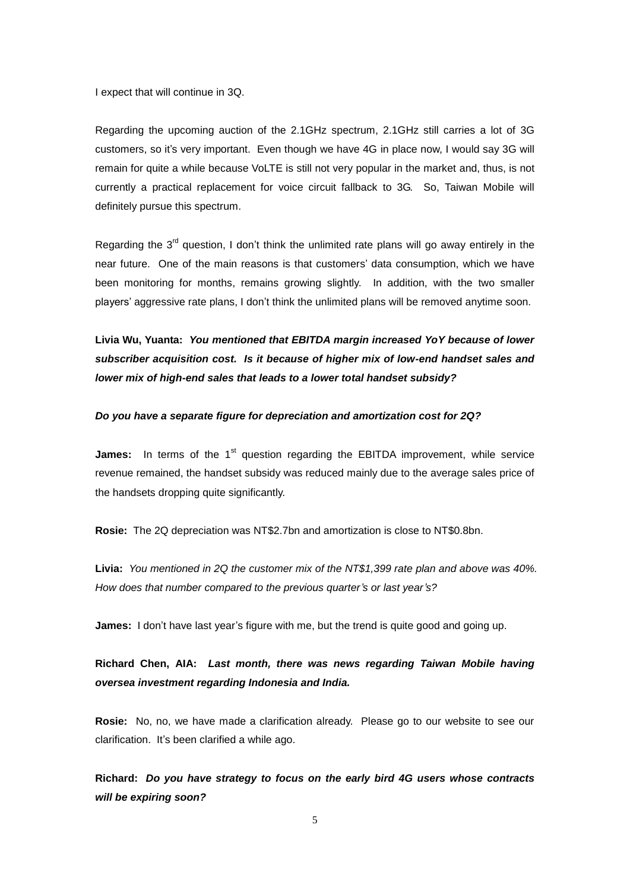I expect that will continue in 3Q.

Regarding the upcoming auction of the 2.1GHz spectrum, 2.1GHz still carries a lot of 3G customers, so it's very important. Even though we have 4G in place now, I would say 3G will remain for quite a while because VoLTE is still not very popular in the market and, thus, is not currently a practical replacement for voice circuit fallback to 3G. So, Taiwan Mobile will definitely pursue this spectrum.

Regarding the  $3<sup>rd</sup>$  question, I don't think the unlimited rate plans will go away entirely in the near future. One of the main reasons is that customers' data consumption, which we have been monitoring for months, remains growing slightly. In addition, with the two smaller players' aggressive rate plans, I don't think the unlimited plans will be removed anytime soon.

**Livia Wu, Yuanta:** *You mentioned that EBITDA margin increased YoY because of lower subscriber acquisition cost. Is it because of higher mix of low-end handset sales and lower mix of high-end sales that leads to a lower total handset subsidy?* 

## *Do you have a separate figure for depreciation and amortization cost for 2Q?*

**James:** In terms of the 1<sup>st</sup> question regarding the EBITDA improvement, while service revenue remained, the handset subsidy was reduced mainly due to the average sales price of the handsets dropping quite significantly.

**Rosie:** The 2Q depreciation was NT\$2.7bn and amortization is close to NT\$0.8bn.

**Livia:** *You mentioned in 2Q the customer mix of the NT\$1,399 rate plan and above was 40%. How does that number compared to the previous quarter's or last year's?*

**James:** I don't have last year's figure with me, but the trend is quite good and going up.

**Richard Chen, AIA:** *Last month, there was news regarding Taiwan Mobile having oversea investment regarding Indonesia and India.* 

**Rosie:** No, no, we have made a clarification already. Please go to our website to see our clarification. It's been clarified a while ago.

**Richard:** *Do you have strategy to focus on the early bird 4G users whose contracts will be expiring soon?*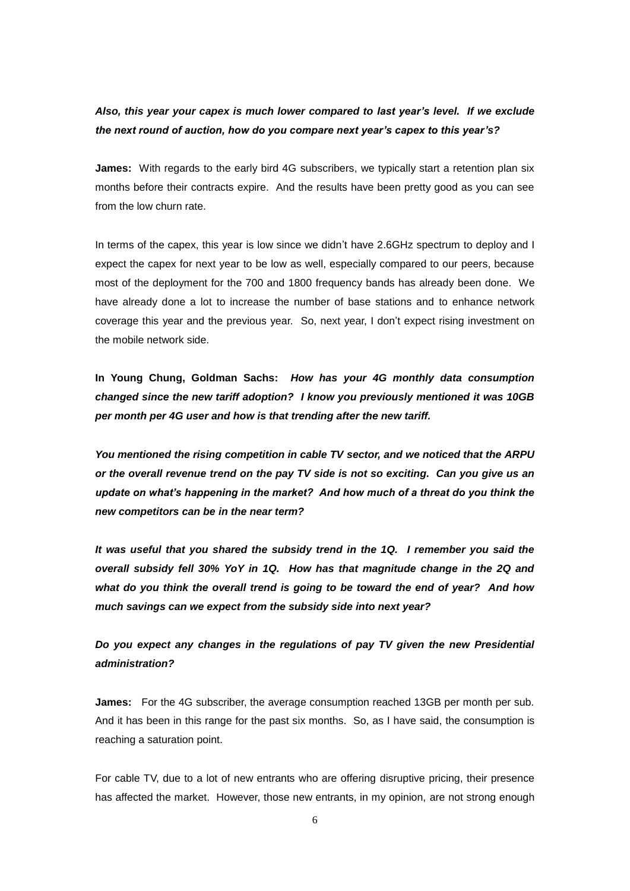# *Also, this year your capex is much lower compared to last year's level. If we exclude the next round of auction, how do you compare next year's capex to this year's?*

**James:** With regards to the early bird 4G subscribers, we typically start a retention plan six months before their contracts expire. And the results have been pretty good as you can see from the low churn rate.

In terms of the capex, this year is low since we didn't have 2.6GHz spectrum to deploy and I expect the capex for next year to be low as well, especially compared to our peers, because most of the deployment for the 700 and 1800 frequency bands has already been done. We have already done a lot to increase the number of base stations and to enhance network coverage this year and the previous year. So, next year, I don't expect rising investment on the mobile network side.

**In Young Chung, Goldman Sachs:** *How has your 4G monthly data consumption changed since the new tariff adoption? I know you previously mentioned it was 10GB per month per 4G user and how is that trending after the new tariff.*

*You mentioned the rising competition in cable TV sector, and we noticed that the ARPU or the overall revenue trend on the pay TV side is not so exciting. Can you give us an update on what's happening in the market? And how much of a threat do you think the new competitors can be in the near term?*

*It was useful that you shared the subsidy trend in the 1Q. I remember you said the overall subsidy fell 30% YoY in 1Q. How has that magnitude change in the 2Q and what do you think the overall trend is going to be toward the end of year? And how much savings can we expect from the subsidy side into next year?*

*Do you expect any changes in the regulations of pay TV given the new Presidential administration?*

**James:** For the 4G subscriber, the average consumption reached 13GB per month per sub. And it has been in this range for the past six months. So, as I have said, the consumption is reaching a saturation point.

For cable TV, due to a lot of new entrants who are offering disruptive pricing, their presence has affected the market. However, those new entrants, in my opinion, are not strong enough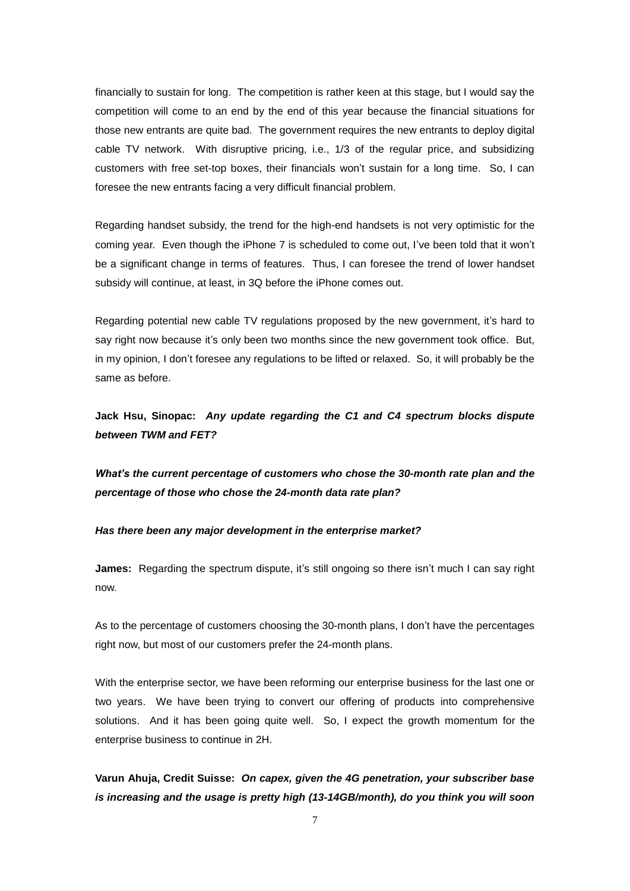financially to sustain for long. The competition is rather keen at this stage, but I would say the competition will come to an end by the end of this year because the financial situations for those new entrants are quite bad. The government requires the new entrants to deploy digital cable TV network. With disruptive pricing, i.e., 1/3 of the regular price, and subsidizing customers with free set-top boxes, their financials won't sustain for a long time. So, I can foresee the new entrants facing a very difficult financial problem.

Regarding handset subsidy, the trend for the high-end handsets is not very optimistic for the coming year. Even though the iPhone 7 is scheduled to come out, I've been told that it won't be a significant change in terms of features. Thus, I can foresee the trend of lower handset subsidy will continue, at least, in 3Q before the iPhone comes out.

Regarding potential new cable TV regulations proposed by the new government, it's hard to say right now because it's only been two months since the new government took office. But, in my opinion, I don't foresee any regulations to be lifted or relaxed. So, it will probably be the same as before.

**Jack Hsu, Sinopac:** *Any update regarding the C1 and C4 spectrum blocks dispute between TWM and FET?*

*What's the current percentage of customers who chose the 30-month rate plan and the percentage of those who chose the 24-month data rate plan?*

# *Has there been any major development in the enterprise market?*

**James:** Regarding the spectrum dispute, it's still ongoing so there isn't much I can say right now.

As to the percentage of customers choosing the 30-month plans, I don't have the percentages right now, but most of our customers prefer the 24-month plans.

With the enterprise sector, we have been reforming our enterprise business for the last one or two years. We have been trying to convert our offering of products into comprehensive solutions. And it has been going quite well. So, I expect the growth momentum for the enterprise business to continue in 2H.

**Varun Ahuja, Credit Suisse:** *On capex, given the 4G penetration, your subscriber base is increasing and the usage is pretty high (13-14GB/month), do you think you will soon*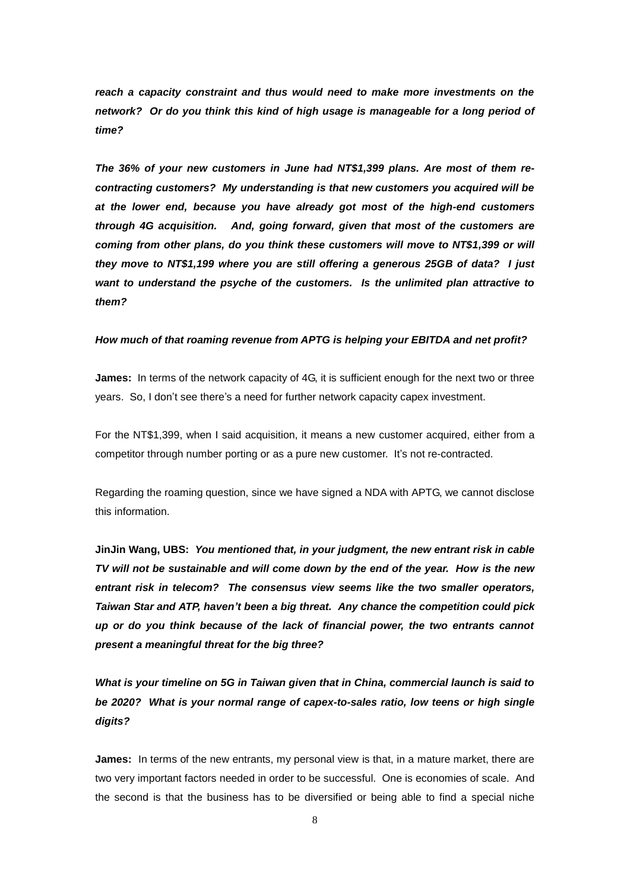reach a capacity constraint and thus would need to make more investments on the *network? Or do you think this kind of high usage is manageable for a long period of time?*

*The 36% of your new customers in June had NT\$1,399 plans. Are most of them recontracting customers? My understanding is that new customers you acquired will be at the lower end, because you have already got most of the high-end customers through 4G acquisition. And, going forward, given that most of the customers are coming from other plans, do you think these customers will move to NT\$1,399 or will they move to NT\$1,199 where you are still offering a generous 25GB of data? I just want to understand the psyche of the customers. Is the unlimited plan attractive to them?*

### *How much of that roaming revenue from APTG is helping your EBITDA and net profit?*

**James:** In terms of the network capacity of 4G, it is sufficient enough for the next two or three years. So, I don't see there's a need for further network capacity capex investment.

For the NT\$1,399, when I said acquisition, it means a new customer acquired, either from a competitor through number porting or as a pure new customer. It's not re-contracted.

Regarding the roaming question, since we have signed a NDA with APTG, we cannot disclose this information.

**JinJin Wang, UBS:** *You mentioned that, in your judgment, the new entrant risk in cable TV will not be sustainable and will come down by the end of the year. How is the new entrant risk in telecom? The consensus view seems like the two smaller operators, Taiwan Star and ATP, haven't been a big threat. Any chance the competition could pick up or do you think because of the lack of financial power, the two entrants cannot present a meaningful threat for the big three?*

*What is your timeline on 5G in Taiwan given that in China, commercial launch is said to be 2020? What is your normal range of capex-to-sales ratio, low teens or high single digits?*

**James:** In terms of the new entrants, my personal view is that, in a mature market, there are two very important factors needed in order to be successful. One is economies of scale. And the second is that the business has to be diversified or being able to find a special niche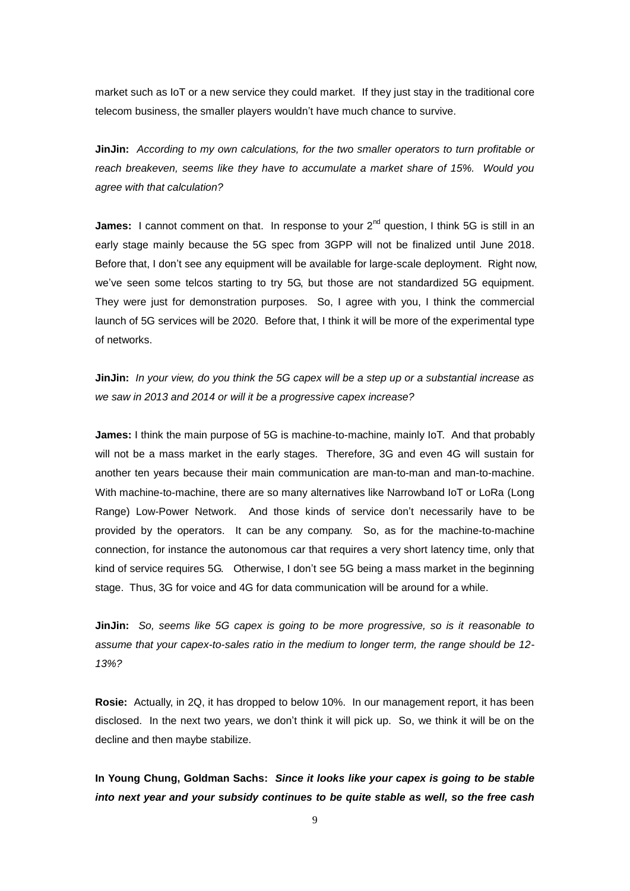market such as IoT or a new service they could market. If they just stay in the traditional core telecom business, the smaller players wouldn't have much chance to survive.

**JinJin:** *According to my own calculations, for the two smaller operators to turn profitable or reach breakeven, seems like they have to accumulate a market share of 15%. Would you agree with that calculation?*

**James:** I cannot comment on that. In response to your 2<sup>nd</sup> question, I think 5G is still in an early stage mainly because the 5G spec from 3GPP will not be finalized until June 2018. Before that, I don't see any equipment will be available for large-scale deployment. Right now, we've seen some telcos starting to try 5G, but those are not standardized 5G equipment. They were just for demonstration purposes. So, I agree with you, I think the commercial launch of 5G services will be 2020. Before that, I think it will be more of the experimental type of networks.

**JinJin:** *In your view, do you think the 5G capex will be a step up or a substantial increase as we saw in 2013 and 2014 or will it be a progressive capex increase?* 

**James:** I think the main purpose of 5G is machine-to-machine, mainly IoT. And that probably will not be a mass market in the early stages. Therefore, 3G and even 4G will sustain for another ten years because their main communication are man-to-man and man-to-machine. With machine-to-machine, there are so many alternatives like Narrowband IoT or LoRa (Long Range) Low-Power Network. And those kinds of service don't necessarily have to be provided by the operators. It can be any company. So, as for the machine-to-machine connection, for instance the autonomous car that requires a very short latency time, only that kind of service requires 5G. Otherwise, I don't see 5G being a mass market in the beginning stage. Thus, 3G for voice and 4G for data communication will be around for a while.

**JinJin:** *So, seems like 5G capex is going to be more progressive, so is it reasonable to assume that your capex-to-sales ratio in the medium to longer term, the range should be 12- 13%?*

**Rosie:** Actually, in 2Q, it has dropped to below 10%. In our management report, it has been disclosed. In the next two years, we don't think it will pick up. So, we think it will be on the decline and then maybe stabilize.

**In Young Chung, Goldman Sachs:** *Since it looks like your capex is going to be stable into next year and your subsidy continues to be quite stable as well, so the free cash*